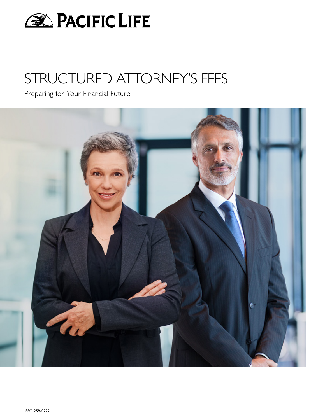

# STRUCTURED ATTORNEY'S FEES

Preparing for Your Financial Future

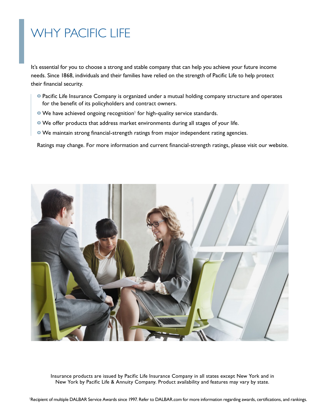# WHY PACIFIC LIFE

It's essential for you to choose a strong and stable company that can help you achieve your future income needs. Since 1868, individuals and their families have relied on the strength of Pacific Life to help protect their financial security.

- **o** Pacific Life Insurance Company is organized under a mutual holding company structure and operates for the benefit of its policyholders and contract owners.
- **•** We have achieved ongoing recognition<sup>1</sup> for high-quality service standards.
- **o** We offer products that address market environments during all stages of your life.
- **o** We maintain strong financial-strength ratings from major independent rating agencies.

Ratings may change. For more information and current financial-strength ratings, please visit our website.



Insurance products are issued by Pacific Life Insurance Company in all states except New York and in New York by Pacific Life & Annuity Company. Product availability and features may vary by state.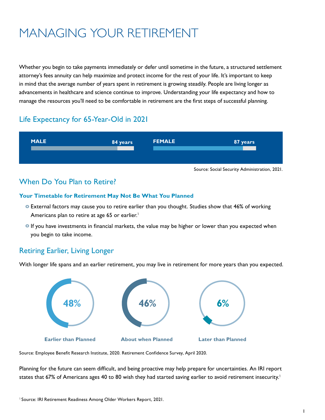# MANAGING YOUR RETIREMENT

Whether you begin to take payments immediately or defer until sometime in the future, a structured settlement attorney's fees annuity can help maximize and protect income for the rest of your life. It's important to keep in mind that the average number of years spent in retirement is growing steadily. People are living longer as advancements in healthcare and science continue to improve. Understanding your life expectancy and how to manage the resources you'll need to be comfortable in retirement are the first steps of successful planning.

## Life Expectancy for 65-Year-Old in 2021



## When Do You Plan to Retire?

### **Your Timetable for Retirement May Not Be What You Planned**

- **o** External factors may cause you to retire earlier than you thought. Studies show that 46% of working Americans plan to retire at age 65 or earlier.<sup>1</sup>
- **o** If you have investments in financial markets, the value may be higher or lower than you expected when you begin to take income.

## Retiring Earlier, Living Longer

With longer life spans and an earlier retirement, you may live in retirement for more years than you expected.



Source: Employee Benefit Research Institute, 2020. Retirement Confidence Survey, April 2020.

Planning for the future can seem difficult, and being proactive may help prepare for uncertainties. An IRI report states that 67% of Americans ages 40 to 80 wish they had started saving earlier to avoid retirement insecurity. $^{\rm 1}$  $\frac{1}{2}$   $\frac{1}{2}$   $\frac{1}{2}$   $\frac{1}{2}$   $\frac{1}{2}$   $\frac{1}{2}$   $\frac{1}{2}$   $\frac{1}{2}$   $\frac{1}{2}$   $\frac{1}{2}$   $\frac{1}{2}$   $\frac{1}{2}$   $\frac{1}{2}$   $\frac{1}{2}$   $\frac{1}{2}$   $\frac{1}{2}$   $\frac{1}{2}$   $\frac{1}{2}$   $\frac{1}{2}$   $\frac{1}{2}$   $\frac{1}{2}$   $\frac{1}{2}$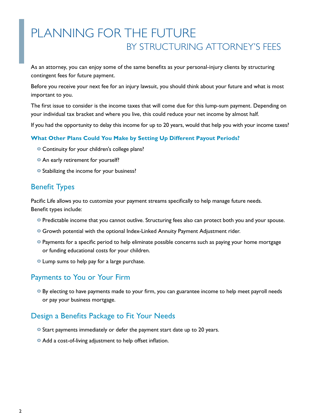## PLANNING FOR THE FUTURE BY STRUCTURING ATTORNEY'S FEES

As an attorney, you can enjoy some of the same benefits as your personal-injury clients by structuring contingent fees for future payment.

Before you receive your next fee for an injury lawsuit, you should think about your future and what is most important to you.

The first issue to consider is the income taxes that will come due for this lump-sum payment. Depending on your individual tax bracket and where you live, this could reduce your net income by almost half.

If you had the opportunity to delay this income for up to 20 years, would that help you with your income taxes?

### **What Other Plans Could You Make by Setting Up Different Payout Periods?**

- **o** Continuity for your children's college plans?
- **An early retirement for yourself?**
- **o** Stabilizing the income for your business?

### Benefit Types

Pacific Life allows you to customize your payment streams specifically to help manage future needs. Benefit types include:

- **o** Predictable income that you cannot outlive. Structuring fees also can protect both you and your spouse.
- **o** Growth potential with the optional Index-Linked Annuity Payment Adjustment rider.
- **o** Payments for a specific period to help eliminate possible concerns such as paying your home mortgage or funding educational costs for your children.
- **o** Lump sums to help pay for a large purchase.

## Payments to You or Your Firm

**o** By electing to have payments made to your firm, you can guarantee income to help meet payroll needs or pay your business mortgage.

## Design a Benefits Package to Fit Your Needs

- **o** Start payments immediately or defer the payment start date up to 20 years.
- **o** Add a cost-of-living adjustment to help offset inflation.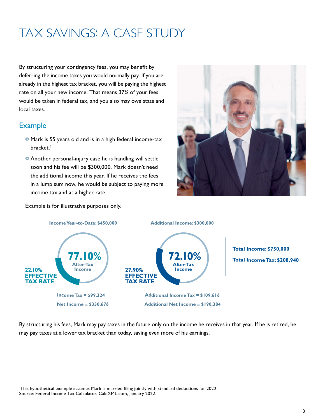# TAX SAVINGS: A CASE STUDY

By structuring your contingency fees, you may benefit by deferring the income taxes you would normally pay. If you are already in the highest tax bracket, you will be paying the highest rate on all your new income. That means 37% of your fees would be taken in federal tax, and you also may owe state and local taxes.

## Example

- **6** Mark is 55 years old and is in a high federal income-tax bracket.<sup>1</sup> bracket.<sup>1</sup>
- **o** Another personal-injury case he is handling will settle soon and his fee will be \$300,000. Mark doesn't need the additional income this year. If he receives the fees in a lump sum now, he would be subject to paying more income tax and at a higher rate.



Example is for illustrative purposes only.



By structuring his fees, Mark may pay taxes in the future only on the income he receives in that year. If he is retired, he may pay taxes at a lower tax bracket than today, saving even more of his earnings.

1 This hypothetical example assumes Mark is married filing jointly with standard deductions for 2022. Source: Federal Income Tax Calculator. CalcXML.com, January 2022.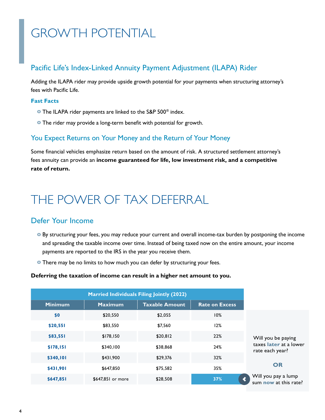# GROWTH POTENTIAL

## Pacific Life's Index-Linked Annuity Payment Adjustment (ILAPA) Rider

Adding the ILAPA rider may provide upside growth potential for your payments when structuring attorney's fees with Pacific Life.

### **Fast Facts**

- **o** The ILAPA rider payments are linked to the S&P 500® index.
- **o** The rider may provide a long-term benefit with potential for growth.

### You Expect Returns on Your Money and the Return of Your Money

Some financial vehicles emphasize return based on the amount of risk. A structured settlement attorney's fees annuity can provide an **income guaranteed for life, low investment risk, and a competitive rate of return.**

## THE POWER OF TAX DEFERRAL

## Defer Your Income

- **o** By structuring your fees, you may reduce your current and overall income-tax burden by postponing the income and spreading the taxable income over time. Instead of being taxed now on the entire amount, your income payments are reported to the IRS in the year you receive them.
- **o** There may be no limits to how much you can defer by structuring your fees.

#### **Deferring the taxation of income can result in a higher net amount to you.**

| <b>Married Individuals Filing Jointly (2022)</b> |                   |                       |                       |
|--------------------------------------------------|-------------------|-----------------------|-----------------------|
| <b>Minimum</b>                                   | <b>Maximum</b>    | <b>Taxable Amount</b> | <b>Rate on Excess</b> |
| \$0                                              | \$20,550          | \$2,055               | 10%                   |
| \$20,551                                         | \$83,550          | \$7,560               | 12%                   |
| \$83,551                                         | \$178,150         | \$20,812              | 22%                   |
| \$178,151                                        | \$340.100         | \$38,868              | 24%                   |
| \$340,101                                        | \$431,900         | \$29,376              | 32%                   |
| \$431,901                                        | \$647,850         | \$75,582              | 35%                   |
| \$647,851                                        | \$647,851 or more | \$28,508              | 37%                   |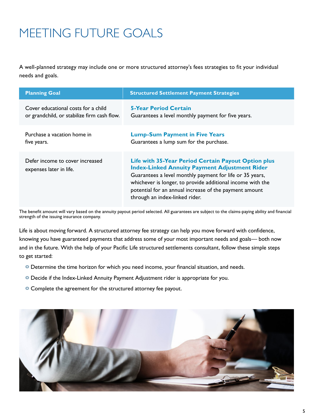# MEETING FUTURE GOALS

A well-planned strategy may include one or more structured attorney's fees strategies to fit your individual needs and goals.

| <b>Planning Goal</b>                                       | <b>Structured Settlement Payment Strategies</b>                                                                                                                                                                                                                                                                                          |  |
|------------------------------------------------------------|------------------------------------------------------------------------------------------------------------------------------------------------------------------------------------------------------------------------------------------------------------------------------------------------------------------------------------------|--|
| Cover educational costs for a child                        | <b>5-Year Period Certain</b>                                                                                                                                                                                                                                                                                                             |  |
| or grandchild, or stabilize firm cash flow.                | Guarantees a level monthly payment for five years.                                                                                                                                                                                                                                                                                       |  |
| Purchase a vacation home in                                | <b>Lump-Sum Payment in Five Years</b>                                                                                                                                                                                                                                                                                                    |  |
| five years.                                                | Guarantees a lump sum for the purchase.                                                                                                                                                                                                                                                                                                  |  |
| Defer income to cover increased<br>expenses later in life. | <b>Life with 35-Year Period Certain Payout Option plus</b><br><b>Index-Linked Annuity Payment Adjustment Rider</b><br>Guarantees a level monthly payment for life or 35 years,<br>whichever is longer, to provide additional income with the<br>potential for an annual increase of the payment amount<br>through an index-linked rider. |  |

The benefit amount will vary based on the annuity payout period selected. All guarantees are subject to the claims-paying ability and financial strength of the issuing insurance company.

Life is about moving forward. A structured attorney fee strategy can help you move forward with confidence, knowing you have guaranteed payments that address some of your most important needs and goals— both now and in the future. With the help of your Pacific Life structured settlements consultant, follow these simple steps to get started:

- **o** Determine the time horizon for which you need income, your financial situation, and needs.
- **o** Decide if the Index-Linked Annuity Payment Adjustment rider is appropriate for you.
- **o** Complete the agreement for the structured attorney fee payout.

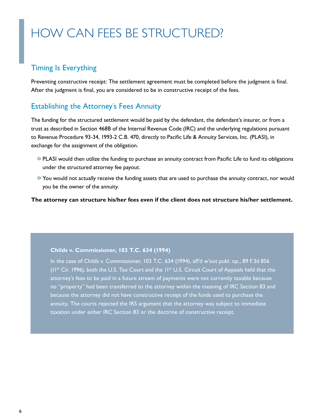# HOW CAN FEES BE STRUCTURED?

## Timing Is Everything

Preventing constructive receipt: The settlement agreement must be completed before the judgment is final. After the judgment is final, you are considered to be in constructive receipt of the fees.

## Establishing the Attorney's Fees Annuity

The funding for the structured settlement would be paid by the defendant, the defendant's insurer, or from a trust as described in Section 468B of the Internal Revenue Code (IRC) and the underlying regulations pursuant to Revenue Procedure 93-34, 1993-2 C.B. 470, directly to Pacific Life & Annuity Services, Inc. (PLASI), in exchange for the assignment of the obligation.

- **o** PLASI would then utilize the funding to purchase an annuity contract from Pacific Life to fund its obligations under the structured attorney fee payout.
- **o** You would not actually receive the funding assets that are used to purchase the annuity contract, nor would you be the owner of the annuity.

**The attorney can structure his/her fees even if the client does not structure his/her settlement.**

#### **Childs v. Commissioner, 103 T.C. 634 (1994)**

In the case of Childs v. Commissioner, 103 T.C. 634 (1994), aff'd w'out publ. op., 89 F.3d 856 (II<sup>th</sup> Cir. 1996), both the U.S. Tax Court and the II<sup>th</sup> U.S. Circuit Court of Appeals held that the attorney's fees to be paid in a future stream of payments were not currently taxable because no "property" had been transferred to the attorney within the meaning of IRC Section 83 and because the attorney did not have constructive receipt of the funds used to purchase the annuity. The courts rejected the IRS argument that the attorney was subject to immediate taxation under either IRC Section 83 or the doctrine of constructive receipt.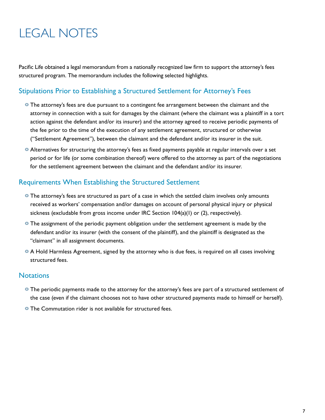# LEGAL NOTES

Pacific Life obtained a legal memorandum from a nationally recognized law firm to support the attorney's fees structured program. The memorandum includes the following selected highlights.

## Stipulations Prior to Establishing a Structured Settlement for Attorney's Fees

- **o** The attorney's fees are due pursuant to a contingent fee arrangement between the claimant and the attorney in connection with a suit for damages by the claimant (where the claimant was a plaintiff in a tort action against the defendant and/or its insurer) and the attorney agreed to receive periodic payments of the fee prior to the time of the execution of any settlement agreement, structured or otherwise ("Settlement Agreement"), between the claimant and the defendant and/or its insurer in the suit.
- **o** Alternatives for structuring the attorney's fees as fixed payments payable at regular intervals over a set period or for life (or some combination thereof) were offered to the attorney as part of the negotiations for the settlement agreement between the claimant and the defendant and/or its insurer.

### Requirements When Establishing the Structured Settlement

- **o** The attorney's fees are structured as part of a case in which the settled claim involves only amounts received as workers' compensation and/or damages on account of personal physical injury or physical sickness (excludable from gross income under IRC Section  $104(a)(1)$  or (2), respectively).
- **o** The assignment of the periodic payment obligation under the settlement agreement is made by the defendant and/or its insurer (with the consent of the plaintiff), and the plaintiff is designated as the "claimant" in all assignment documents.
- **o** A Hold Harmless Agreement, signed by the attorney who is due fees, is required on all cases involving structured fees.

### **Notations**

- **o** The periodic payments made to the attorney for the attorney's fees are part of a structured settlement of the case (even if the claimant chooses not to have other structured payments made to himself or herself).
- **o** The Commutation rider is not available for structured fees.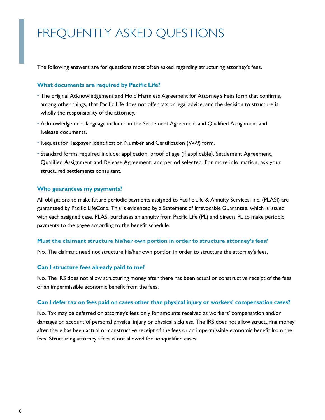# FREQUENTLY ASKED QUESTIONS

The following answers are for questions most often asked regarding structuring attorney's fees.

#### **What documents are required by Pacific Life?**

- **·** The original Acknowledgement and Hold Harmless Agreement for Attorney's Fees form that confirms, among other things, that Pacific Life does not offer tax or legal advice, and the decision to structure is wholly the responsibility of the attorney.
- **·** Acknowledgement language included in the Settlement Agreement and Qualified Assignment and Release documents.
- **·** Request for Taxpayer Identification Number and Certification (W-9) form.
- **·** Standard forms required include: application, proof of age (if applicable), Settlement Agreement, Qualified Assignment and Release Agreement, and period selected. For more information, ask your structured settlements consultant.

#### **Who guarantees my payments?**

All obligations to make future periodic payments assigned to Pacific Life & Annuity Services, Inc. (PLASI) are guaranteed by Pacific LifeCorp. This is evidenced by a Statement of Irrevocable Guarantee, which is issued with each assigned case. PLASI purchases an annuity from Pacific Life (PL) and directs PL to make periodic payments to the payee according to the benefit schedule.

#### **Must the claimant structure his/her own portion in order to structure attorney's fees?**

No. The claimant need not structure his/her own portion in order to structure the attorney's fees.

#### **Can I structure fees already paid to me?**

No. The IRS does not allow structuring money after there has been actual or constructive receipt of the fees or an impermissible economic benefit from the fees.

#### **Can I defer tax on fees paid on cases other than physical injury or workers' compensation cases?**

No. Tax may be deferred on attorney's fees only for amounts received as workers' compensation and/or damages on account of personal physical injury or physical sickness. The IRS does not allow structuring money after there has been actual or constructive receipt of the fees or an impermissible economic benefit from the fees. Structuring attorney's fees is not allowed for nonqualified cases.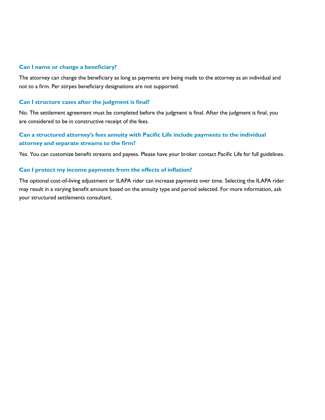#### **Can I name or change a beneficiary?**

The attorney can change the beneficiary as long as payments are being made to the attorney as an individual and not to a firm. Per stirpes beneficiary designations are not supported.

#### **Can I structure cases after the judgment is final?**

No. The settlement agreement must be completed before the judgment is final. After the judgment is final, you are considered to be in constructive receipt of the fees.

### **Can a structured attorney's fees annuity with Pacific Life include payments to the individual attorney and separate streams to the firm?**

Yes. You can customize benefit streams and payees. Please have your broker contact Pacific Life for full guidelines.

#### **Can I protect my income payments from the effects of inflation?**

The optional cost-of-living adjustment or ILAPA rider can increase payments over time. Selecting the ILAPA rider may result in a varying benefit amount based on the annuity type and period selected. For more information, ask your structured settlements consultant.